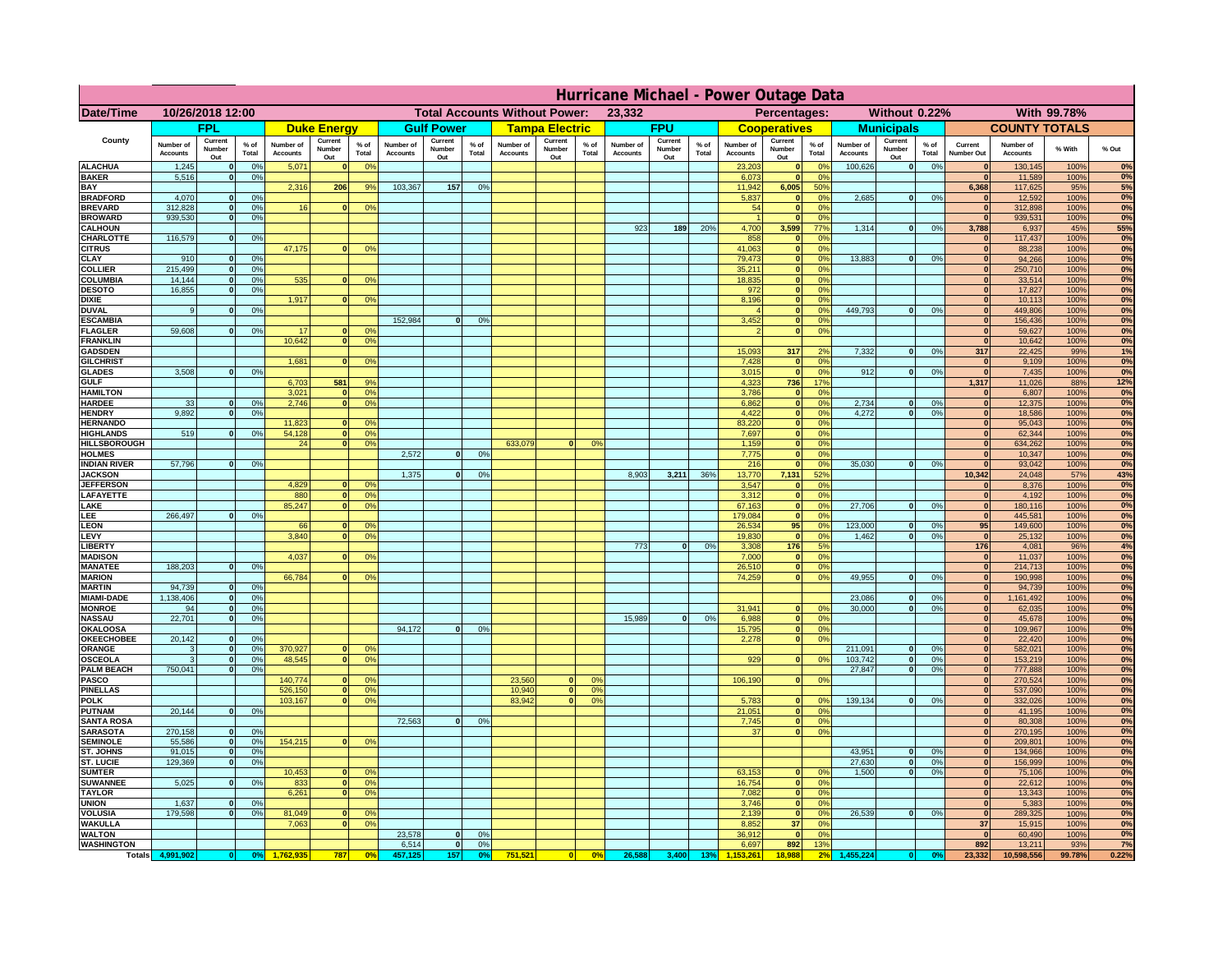|                                      | Hurricane Michael - Power Outage Data |                          |                      |                              |                                                |                                  |                              |                          |                 |                       |                                              |                 |                              |                          |                   |                              |                              |                                                        |                              |                              |                       |                              |                              |              |             |
|--------------------------------------|---------------------------------------|--------------------------|----------------------|------------------------------|------------------------------------------------|----------------------------------|------------------------------|--------------------------|-----------------|-----------------------|----------------------------------------------|-----------------|------------------------------|--------------------------|-------------------|------------------------------|------------------------------|--------------------------------------------------------|------------------------------|------------------------------|-----------------------|------------------------------|------------------------------|--------------|-------------|
| Date/Time                            | 10/26/2018 12:00                      |                          |                      |                              | <b>Total Accounts Without Power:</b><br>23,332 |                                  |                              |                          |                 |                       | Without 0.22%<br>With 99.78%<br>Percentages: |                 |                              |                          |                   |                              |                              |                                                        |                              |                              |                       |                              |                              |              |             |
|                                      | FPL                                   |                          | <b>Duke Energy</b>   |                              |                                                | <b>Gulf Power</b>                |                              | <b>Tampa Electric</b>    |                 |                       | <b>FPU</b>                                   |                 | <b>Cooperatives</b>          |                          | <b>Municipals</b> |                              |                              | <b>COUNTY TOTALS</b>                                   |                              |                              |                       |                              |                              |              |             |
| County                               | Number of<br><b>Accounts</b>          | Current<br>Number<br>Out | $%$ of<br>Total      | Number of<br><b>Accounts</b> | Current<br><b>Number</b><br>Out                | $%$ of<br>Total                  | Number of<br><b>Accounts</b> | Current<br>Number<br>Out | $%$ of<br>Total | Number of<br>Accounts | Current<br>Number<br>Out                     | $%$ of<br>Total | Number of<br><b>Accounts</b> | Current<br>Number<br>Out | $%$ of<br>Total   | Number of<br><b>Accounts</b> | Current<br>Number<br>Out     | $%$ of<br>Total                                        | Number of<br><b>Accounts</b> | Current<br>Number<br>Out     | $%$ of<br>Total       | Current<br>Number Out        | Number of<br><b>Accounts</b> | % With       | % Out       |
| <b>ALACHUA</b>                       | 1,245                                 | $\Omega$                 | 0%                   | 5,071                        | $\overline{0}$                                 | 0%                               |                              |                          |                 |                       |                                              |                 |                              |                          |                   | 23,203                       | $\Omega$                     | 0 <sup>9</sup>                                         | 100,626                      | $\mathbf{0}$                 | 0%                    | $\mathbf{0}$                 | 130,145                      | 100%         | 0%          |
| <b>BAKER</b><br>BAY                  | 5,516                                 | 0                        | 0%                   | 2,316                        | 206                                            | 9%                               | 103,367                      | 157                      | 0 <sup>9</sup>  |                       |                                              |                 |                              |                          |                   | 6,073<br>11,942              | $\bf{0}$<br>6,005            | 0 <sup>9</sup><br>50%                                  |                              |                              |                       | $\mathbf{0}$<br>6,368        | 11,589<br>117,625            | 100%<br>95%  | 0%<br>5%    |
| <b>BRADFORD</b>                      | 4,070                                 | 0                        | 0%                   |                              |                                                |                                  |                              |                          |                 |                       |                                              |                 |                              |                          |                   | 5,837                        | $\mathbf{0}$                 | 0 <sup>o</sup>                                         | 2,685                        | 0                            | 0%                    | $\Omega$                     | 12,592                       | 100%         | 0%          |
| <b>BREVARD</b><br><b>BROWARD</b>     | 312.828<br>939.530                    | 0                        | 0%                   | 16                           | $\Omega$                                       | 0%                               |                              |                          |                 |                       |                                              |                 |                              |                          |                   | 54                           | $\mathbf{0}$                 | 0 <sup>9</sup><br>$\mathbf{0}$<br>0%                   |                              |                              |                       | 0 <br> 0                     | 312,898                      | 100%<br>100% | 0%<br>0%    |
| <b>CALHOUN</b>                       |                                       | 0                        | 0%                   |                              |                                                |                                  |                              |                          |                 |                       |                                              |                 | 923                          | 189                      | 20%               | 4,700                        | 3,599                        | 77%                                                    | 1,314                        | 0                            | 0%                    | 3,788                        | 939,531<br>6,937             | 45%          | 55%         |
| <b>CHARLOTTE</b>                     | 116,579                               | 0                        | 0%                   |                              |                                                |                                  |                              |                          |                 |                       |                                              |                 |                              |                          |                   | 858                          |                              | 0 <br>0 <sup>9</sup>                                   |                              |                              |                       | $\mathbf{0}$                 | 117,437                      | 100%         | 0%          |
| <b>CITRUS</b><br><b>CLAY</b>         | 910                                   | 0                        | 0%                   | 47,175                       | $\Omega$                                       | 0%                               |                              |                          |                 |                       |                                              |                 |                              |                          |                   | 41.063<br>79,473             |                              | 0 <br>0 <sup>9</sup><br>0 <sup>9</sup><br> 0           | 13,883                       | 0                            | 0%                    | $\mathbf{0}$<br> 0           | 88.238<br>94,266             | 100%<br>100% | 0%<br>$0\%$ |
| <b>COLLIER</b>                       | 215,499                               | 0                        | 0%                   |                              |                                                |                                  |                              |                          |                 |                       |                                              |                 |                              |                          |                   | 35,211                       |                              | 0 <sup>9</sup><br>$\mathbf{0}$                         |                              |                              |                       | $\mathbf{0}$                 | 250,710                      | 100%         | $0\%$       |
| COLUMBIA                             | 14.144                                | 0                        | 0%                   | 535                          | $\bf{0}$                                       | 0%                               |                              |                          |                 |                       |                                              |                 |                              |                          |                   | 18,835                       | $\bf{0}$                     | 0 <sup>9</sup>                                         |                              |                              |                       | $\mathbf{0}$                 | 33,514                       | 100%         | 0%          |
| <b>DESOTO</b><br><b>DIXIE</b>        | 16,855                                | 0                        | 0%                   | 1,917                        | 0                                              | 0 <sup>9</sup>                   |                              |                          |                 |                       |                                              |                 |                              |                          |                   | 972<br>8,196                 | $\bf{0}$<br>$\bf{0}$         | 0 <sup>9</sup><br>0 <sup>o</sup>                       |                              |                              |                       | $\mathbf{0}$<br>$\mathbf{0}$ | 17,827<br>10,113             | 100%<br>100% | 0%<br>0%    |
| <b>DUVAL</b>                         | 9                                     | $\mathbf{0}$             | 0%                   |                              |                                                |                                  |                              |                          |                 |                       |                                              |                 |                              |                          |                   |                              | $\bf{0}$                     | 0 <sup>9</sup>                                         | 449,793                      | 0                            | 0%                    | $\mathbf{0}$                 | 449,806                      | 100%         | 0%          |
| <b>ESCAMBIA</b>                      |                                       |                          |                      |                              |                                                |                                  | 152,984                      | 0                        | 0 <sup>9</sup>  |                       |                                              |                 |                              |                          |                   | 3,452                        |                              | 0 <sup>9</sup>                                         |                              |                              |                       | $\mathbf{0}$                 | 156,436                      | 100%         | 0%          |
| <b>FLAGLER</b><br><b>FRANKLIN</b>    | 59,608                                | $\mathbf{0}$             | 0%                   | 17<br>10,642                 | $\mathbf{0}$                                   | 0 <sup>9</sup><br>0 <sup>9</sup> |                              |                          |                 |                       |                                              |                 |                              |                          |                   |                              |                              | 0 <sup>o</sup>                                         |                              |                              |                       | $\mathbf{0}$<br>$\mathbf{0}$ | 59,627<br>10,642             | 100%<br>100% | 0%<br>0%    |
| <b>GADSDEN</b>                       |                                       |                          |                      |                              |                                                |                                  |                              |                          |                 |                       |                                              |                 |                              |                          |                   | 15,093                       | 317                          | 2 <sup>o</sup>                                         | 7,332                        | 0                            | 0%                    | 317                          | 22,425                       | 99%          | 1%          |
| <b>GILCHRIST</b>                     | 3.508                                 | $\mathbf{0}$             | 0%                   | 1,681                        | $\Omega$                                       | 0 <sup>9</sup>                   |                              |                          |                 |                       |                                              |                 |                              |                          |                   | 7,428<br>3,015               | $\mathbf{0}$<br>$\mathbf{0}$ | 0%<br>0%                                               | 912                          | $\mathbf{0}$                 | 0%                    | 0 <br> 0                     | 9,109<br>7,435               | 100%         | 0%<br>0%    |
| <b>GLADES</b><br><b>GULF</b>         |                                       |                          |                      | 6,703                        | 581                                            | 9%                               |                              |                          |                 |                       |                                              |                 |                              |                          |                   | 4,323                        | 736                          | 17%                                                    |                              |                              |                       | 1,317                        | 11,026                       | 100%<br>88%  | 12%         |
| <b>HAMILTON</b>                      |                                       |                          |                      | 3,021                        | 0                                              | 0 <sup>9</sup>                   |                              |                          |                 |                       |                                              |                 |                              |                          |                   | 3,786                        | $\bf{0}$                     | 0 <sup>9</sup>                                         |                              |                              |                       | 0                            | 6,807                        | 100%         | 0%          |
| <b>HARDEE</b><br><b>HENDRY</b>       | 33<br>9.892                           | $\Omega$<br> 0           | 0%<br>0%             | 2,746                        | 0                                              | 0 <sup>9</sup>                   |                              |                          |                 |                       |                                              |                 |                              |                          |                   | 6,862<br>4,422               |                              | 0 <br>0 <sup>o</sup><br>0 <sup>9</sup><br>$\mathbf{0}$ | 2,734<br>4.272               | 0 <br>$\overline{0}$         | 0%<br>0%              | 0 <br> 0                     | 12,375<br>18,586             | 100%<br>100% | 0%<br>0%    |
| <b>HERNANDO</b>                      |                                       |                          |                      | 11,823                       | $\mathbf{0}$                                   | 0%                               |                              |                          |                 |                       |                                              |                 |                              |                          |                   | 83,220                       |                              | 0 <sup>9</sup><br>$\mathbf{0}$                         |                              |                              |                       | 0                            | 95,043                       | 100%         | 0%          |
| <b>HIGHLANDS</b>                     | 519                                   | n                        | 0%                   | 54,128                       | $\overline{0}$                                 | 0 <sup>9</sup>                   |                              |                          |                 |                       |                                              |                 |                              |                          |                   | 7,697                        |                              | 0 <br>0 <sup>9</sup>                                   |                              |                              |                       | 0                            | 62,344                       | 100%         | 0%          |
| <b>HILLSBOROUGH</b><br><b>HOLMES</b> |                                       |                          |                      | 24                           | 0                                              | 0 <sup>9</sup>                   | 2,572                        | n l                      | 0 <sup>9</sup>  | 633,079               | <sub>0</sub>                                 | 0 <sup>9</sup>  |                              |                          |                   | 1,159<br>7,775               | $\Omega$                     | 0 <br>0 <sup>9</sup><br>0 <sup>9</sup>                 |                              |                              |                       | 0 <br>$\mathbf{0}$           | 634,262<br>10,347            | 100%<br>100% | 0%<br>0%    |
| <b>INDIAN RIVER</b>                  | 57,796                                | 0                        | 0%                   |                              |                                                |                                  |                              |                          |                 |                       |                                              |                 |                              |                          |                   | 216                          |                              | 0 <sup>9</sup><br>$\mathbf{0}$                         | 35,030                       | $\mathbf{0}$                 | 0%                    | $\mathbf{0}$                 | 93,042                       | 100%         | 0%          |
| <b>JACKSON</b>                       |                                       |                          |                      | 4.829                        |                                                |                                  | 1,375                        | $\mathbf{0}$             | 0 <sup>9</sup>  |                       |                                              |                 | 8,903                        | 3,211                    | 36%               | 13,770                       | 7,131                        | 52 <sup>o</sup><br>$\mathbf{0}$                        |                              |                              |                       | 10,342                       | 24,048                       | 57%          | 43%<br>0%   |
| <b>JEFFERSON</b><br>LAFAYETTE        |                                       |                          |                      | 880                          | $\mathbf{0}$<br> 0                             | 0 <sup>9</sup><br>0%             |                              |                          |                 |                       |                                              |                 |                              |                          |                   | 3.547<br>3,312               |                              | 0 <sup>9</sup><br>$\mathbf{0}$<br>0 <sup>9</sup>       |                              |                              |                       | $\mathbf{0}$<br> 0           | 8,376<br>4,192               | 100%<br>100% | 0%          |
| LAKE                                 |                                       |                          |                      | 85,247                       | 0                                              | 0%                               |                              |                          |                 |                       |                                              |                 |                              |                          |                   | 67,163                       |                              | $\mathbf{0}$<br>0 <sup>9</sup>                         | 27,706                       | $\mathbf{0}$                 | 0%                    | 0                            | 180,116                      | 100%         | 0%          |
| <b>EE</b><br><b>EON</b>              | 266,497                               | n.                       | 0%                   | 66                           | $\mathbf{0}$                                   | 0 <sup>9</sup>                   |                              |                          |                 |                       |                                              |                 |                              |                          |                   | 179,084<br>26.534            | 95 <sup>1</sup>              | 0%<br> 0 <br>0%                                        | 123.000                      | $\mathbf{0}$                 | 0%                    | 0 <br>95                     | 445,581<br>149,600           | 100%<br>100% | 0%<br>0%    |
| LEVY                                 |                                       |                          |                      | 3,840                        | $\Omega$                                       | 0%                               |                              |                          |                 |                       |                                              |                 |                              |                          |                   | 19,830                       |                              | 0%<br> 0                                               | 1,462                        | $\mathbf{0}$                 | 0%                    | 0                            | 25,132                       | 100%         | 0%          |
| <b>LIBERTY</b>                       |                                       |                          |                      |                              |                                                |                                  |                              |                          |                 |                       |                                              |                 | 773                          | $\mathbf{0}$             | 0%                | 3,308                        | 176                          | 5%                                                     |                              |                              |                       | 176                          | 4,081                        | 96%          | 4%          |
| <b>MADISON</b><br><b>MANATEE</b>     | 188,203                               | 0                        | 0%                   | 4,037                        | <sub>n</sub>                                   | 0 <sup>9</sup>                   |                              |                          |                 |                       |                                              |                 |                              |                          |                   | 7,000<br>26,510              |                              | 0%<br> 0 <br>0%<br> 0                                  |                              |                              |                       | 0 <br> 0                     | 11,037<br>214,713            | 100%<br>100% | 0%<br>0%    |
| <b>MARION</b>                        |                                       |                          |                      | 66,784                       |                                                | 0 <sup>9</sup>                   |                              |                          |                 |                       |                                              |                 |                              |                          |                   | 74,259                       | $\mathbf{0}$                 | 0 <sup>9</sup>                                         | 49,955                       | $\mathbf{0}$                 | 0%                    | 0                            | 190,998                      | 100%         | 0%          |
| <b>MARTIN</b>                        | 94,739                                | $\mathbf{0}$             | 0%                   |                              |                                                |                                  |                              |                          |                 |                       |                                              |                 |                              |                          |                   |                              |                              |                                                        |                              |                              |                       | 0                            | 94,739                       | 100%         | 0%          |
| <b>MIAMI-DADE</b><br><b>MONROE</b>   | 1,138,406<br>94                       | 0 <br>0                  | 0%<br>0%             |                              |                                                |                                  |                              |                          |                 |                       |                                              |                 |                              |                          |                   | 31,941                       |                              | $^{\circ}$                                             | 23,086<br>30,000             | $\mathbf{0}$<br>$\mathbf{0}$ | 0%<br>0%              | 0 <br>$\mathbf{0}$           | 1,161,492<br>62,035          | 100%<br>100% | 0%<br>0%    |
| <b>NASSAU</b>                        | 22,701                                | 0                        | 0%                   |                              |                                                |                                  |                              |                          |                 |                       |                                              |                 | 15,989                       | $\Omega$                 | 0%                | 6,988                        |                              | 0 <br>0%                                               |                              |                              |                       | 0                            | 45,678                       | 100%         | 0%          |
| <b>OKALOOSA</b>                      |                                       | $\mathbf{0}$             |                      |                              |                                                |                                  | 94,172                       | 0                        | 0 <sup>9</sup>  |                       |                                              |                 |                              |                          |                   | 15,795                       |                              | 0%<br> 0 <br>0%                                        |                              |                              |                       | 0                            | 109,967                      | 100%         | 0%<br>0%    |
| <b>OKEECHOBEE</b><br>ORANGE          | 20,142<br>3                           | 0                        | 0%<br>0%             | 370,927                      | 0                                              | 0 <sup>9</sup>                   |                              |                          |                 |                       |                                              |                 |                              |                          |                   | 2,278                        |                              | 0                                                      | 211,091                      | $\Omega$                     | 0%                    | 0 <br> 0                     | 22,420<br>582,021            | 100%<br>100% | 0%          |
| <b>OSCEOLA</b>                       | $\mathbf{3}$                          | 0                        | 0%                   | 48,545                       | 0                                              | 0%                               |                              |                          |                 |                       |                                              |                 |                              |                          |                   | 929                          |                              | 0%<br> 0                                               | 103,742                      | 0                            | 0%                    | 0                            | 153,219                      | 100%         | 0%          |
| <b>PALM BEACH</b><br><b>PASCO</b>    | 750,041                               | 0                        | 0%                   | 140,774                      | 0                                              | 0%                               |                              |                          |                 | 23,560                | $\Omega$                                     | O <sup>o</sup>  |                              |                          |                   | 106,190                      |                              | 0%<br>$\Omega$                                         | 27,847                       | 0                            | 0%                    | 0 <br> 0                     | 777,888<br>270,524           | 100%<br>100% | 0%<br>0%    |
| <b>PINELLAS</b>                      |                                       |                          |                      | 526,150                      | 0                                              | 0 <sup>9</sup>                   |                              |                          |                 | 10,940                | 0                                            | 0 <sup>o</sup>  |                              |                          |                   |                              |                              |                                                        |                              |                              |                       | 0                            | 537,090                      | 100%         | 0%          |
| <b>POLK</b>                          |                                       |                          |                      | 103,167                      | 0                                              | 0%                               |                              |                          |                 | 83,942                | 0                                            | 0 <sup>o</sup>  |                              |                          |                   | 5,783                        |                              | 0 <br>$^{\circ}$                                       | 139,134                      | 0                            | 0%                    | 0                            | 332,026                      | 100%         | 0%          |
| <b>PUTNAM</b><br><b>SANTA ROSA</b>   | 20,144                                | 0                        | 0%                   |                              |                                                |                                  | 72,563                       | 0                        | 0%              |                       |                                              |                 |                              |                          |                   | 21,051<br>7,745              |                              | 0 <sup>9</sup><br> 0 <br>0 <sup>9</sup><br> 0          |                              |                              |                       | 0 <br>$\Omega$               | 41,195<br>80,308             | 100%<br>100% | 0%<br>0%    |
| <b>SARASOTA</b>                      | 270,158                               | 0                        | 0%                   |                              |                                                |                                  |                              |                          |                 |                       |                                              |                 |                              |                          |                   | 37                           |                              | 0 <sup>9</sup><br> 0                                   |                              |                              |                       | $\mathbf{0}$                 | 270,195                      | 100%         | 0%          |
| <b>SEMINOLE</b>                      | 55,586                                | 0                        | 0%                   | 154,215                      | 0                                              | 0%                               |                              |                          |                 |                       |                                              |                 |                              |                          |                   |                              |                              |                                                        |                              |                              |                       | 0                            | 209,801                      | 100%         | 0%          |
| ST. JOHNS<br><b>ST. LUCIE</b>        | 91,015<br>129,369                     | 0 <br>$\Omega$           | 0%<br>0%             |                              |                                                |                                  |                              |                          |                 |                       |                                              |                 |                              |                          |                   |                              |                              |                                                        | 43,951<br>27,630             | 0 <br>$\mathbf{0}$           | 0%<br>0%              | 0 <br>$\mathbf{0}$           | 134,966<br>156,999           | 100%<br>100% | 0%<br>0%    |
| <b>SUMTER</b>                        |                                       |                          |                      | 10,453                       | 0                                              | 0 <sup>9</sup>                   |                              |                          |                 |                       |                                              |                 |                              |                          |                   | 63,153                       |                              | 0 <sup>9</sup><br>$\mathbf{0}$                         | 1.500                        | 0                            | 0%                    | $\Omega$                     | 75,106                       | 100%         | 0%          |
| <b>SUWANNEE</b><br><b>TAYLOR</b>     | 5,025                                 | 0                        | 0%                   | 833<br>6,261                 | 0 <br> 0                                       | 0%<br>0%                         |                              |                          |                 |                       |                                              |                 |                              |                          |                   | 16,754<br>7,082              |                              | 0 <br>0%<br>0%<br> 0                                   |                              |                              |                       | $\mathbf{0}$<br> 0           | 22,612<br>13,343             | 100%<br>100% | 0%<br>0%    |
| <b>UNION</b>                         | 1.637                                 | 0                        | 0%                   |                              |                                                |                                  |                              |                          |                 |                       |                                              |                 |                              |                          |                   | 3.746                        |                              | 0%<br> 0                                               |                              |                              |                       | $\mathbf{0}$                 | 5,383                        | 100%         | $0\%$       |
| <b>VOLUSIA</b>                       | 179.598                               | 0                        | 0%                   | 81,049                       | $\Omega$                                       | 0%                               |                              |                          |                 |                       |                                              |                 |                              |                          |                   | 2.139                        |                              | 0 <br>0%                                               | 26,539                       | 0                            | 0%                    | 0                            | 289,325                      | 100%         | 0%          |
| <b>WAKULLA</b><br><b>WALTON</b>      |                                       |                          |                      | 7,063                        | 0                                              | 0%                               | 23,578                       | 0                        | 0 <sup>9</sup>  |                       |                                              |                 |                              |                          |                   | 8,852<br>36,912              | 37<br> 0                     | 0%<br>0%                                               |                              |                              |                       | 37<br> 0                     | 15,915                       | 100%         | 0%<br>0%    |
| <b>WASHINGTON</b>                    |                                       |                          |                      |                              |                                                |                                  | 6,514                        | 0                        | 0%              |                       |                                              |                 |                              |                          |                   | 6,697                        | 892                          | 13%                                                    |                              |                              |                       | 892                          | 60,490<br>13,211             | 100%<br>93%  | 7%          |
| <b>Totals</b>                        | 4,991,902                             |                          | 0 <sup>9</sup><br> 0 |                              | 787                                            | 0 <sup>6</sup>                   | 157,125                      | 157                      | 0%              | 751,521               | 0                                            | 0 <sup>9</sup>  | 26,588                       | 3,400                    | 13%               |                              | 8.988                        |                                                        | 1,455,224                    |                              | $\mathbf{0}^{\prime}$ | 23,332                       | 10,598,556                   | 99.78%       | 0.22%       |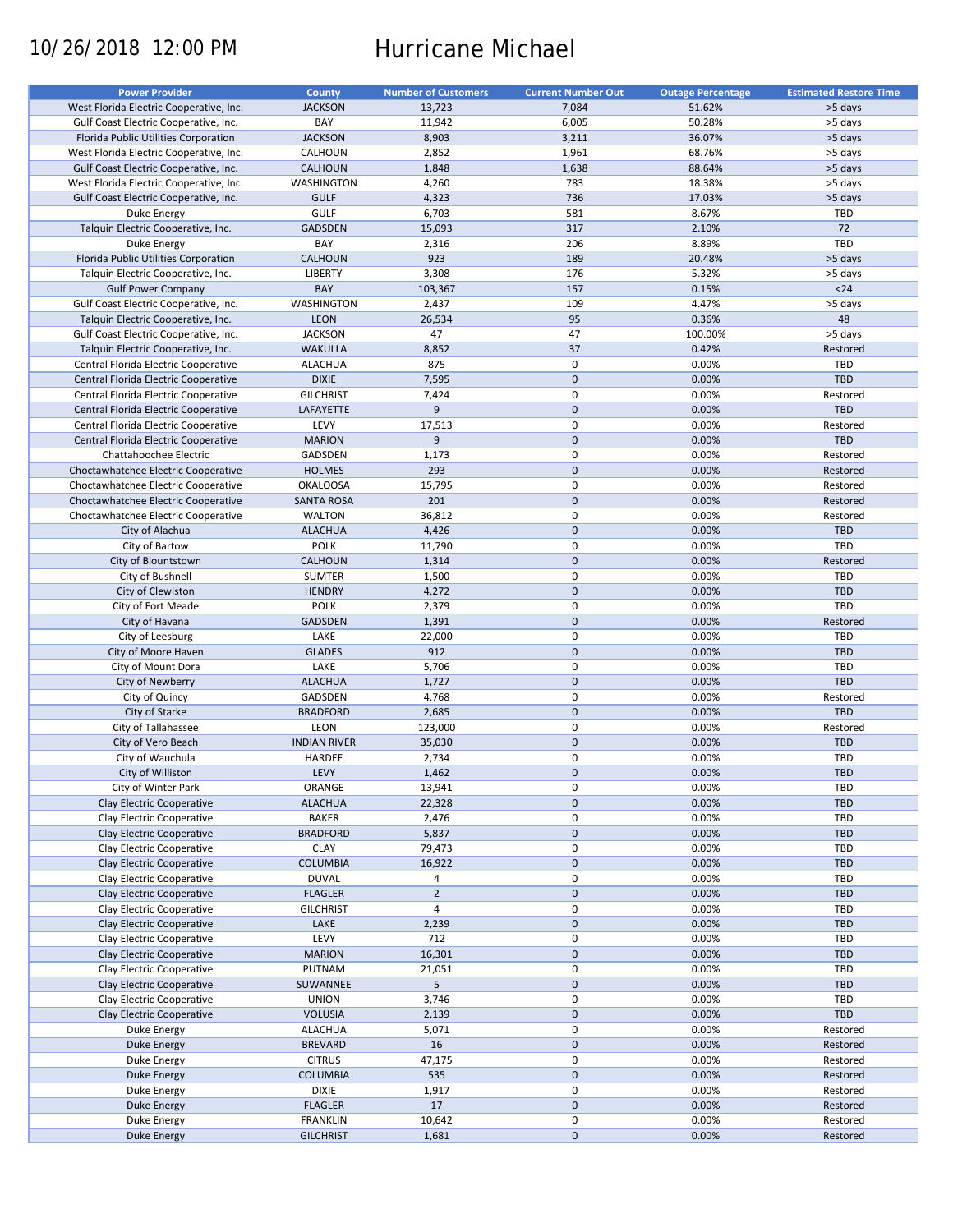# 10/26/2018 12:00 PM Hurricane Michael

| <b>Power Provider</b>                   | <b>County</b>       | <b>Number of Customers</b> | <b>Current Number Out</b> | <b>Outage Percentage</b> | <b>Estimated Restore Time</b> |
|-----------------------------------------|---------------------|----------------------------|---------------------------|--------------------------|-------------------------------|
| West Florida Electric Cooperative, Inc. | <b>JACKSON</b>      | 13,723                     | 7,084                     | 51.62%                   | >5 days                       |
| Gulf Coast Electric Cooperative, Inc.   | BAY                 | 11,942                     | 6,005                     | 50.28%                   | >5 days                       |
|                                         |                     |                            |                           |                          |                               |
| Florida Public Utilities Corporation    | <b>JACKSON</b>      | 8,903                      | 3,211                     | 36.07%                   | >5 days                       |
| West Florida Electric Cooperative, Inc. | CALHOUN             | 2,852                      | 1,961                     | 68.76%                   | >5 days                       |
| Gulf Coast Electric Cooperative, Inc.   | <b>CALHOUN</b>      | 1,848                      | 1,638                     | 88.64%                   | >5 days                       |
| West Florida Electric Cooperative, Inc. | <b>WASHINGTON</b>   | 4,260                      | 783                       | 18.38%                   | >5 days                       |
| Gulf Coast Electric Cooperative, Inc.   | <b>GULF</b>         | 4,323                      | 736                       | 17.03%                   | >5 days                       |
| Duke Energy                             | <b>GULF</b>         | 6,703                      | 581                       | 8.67%                    | TBD                           |
|                                         |                     |                            |                           |                          |                               |
| Talquin Electric Cooperative, Inc.      | GADSDEN             | 15,093                     | 317                       | 2.10%                    | 72                            |
| Duke Energy                             | BAY                 | 2,316                      | 206                       | 8.89%                    | TBD                           |
| Florida Public Utilities Corporation    | <b>CALHOUN</b>      | 923                        | 189                       | 20.48%                   | >5 days                       |
| Talquin Electric Cooperative, Inc.      | LIBERTY             | 3,308                      | 176                       | 5.32%                    | >5 days                       |
| <b>Gulf Power Company</b>               | BAY                 | 103,367                    | 157                       | 0.15%                    | $24$                          |
|                                         |                     |                            |                           |                          |                               |
| Gulf Coast Electric Cooperative, Inc.   | <b>WASHINGTON</b>   | 2,437                      | 109                       | 4.47%                    | >5 days                       |
| Talquin Electric Cooperative, Inc.      | <b>LEON</b>         | 26,534                     | 95                        | 0.36%                    | 48                            |
| Gulf Coast Electric Cooperative, Inc.   | <b>JACKSON</b>      | 47                         | 47                        | 100.00%                  | >5 days                       |
| Talquin Electric Cooperative, Inc.      | <b>WAKULLA</b>      | 8,852                      | 37                        | 0.42%                    | Restored                      |
| Central Florida Electric Cooperative    | ALACHUA             | 875                        | $\mathsf 0$               | 0.00%                    | TBD                           |
|                                         | <b>DIXIE</b>        | 7,595                      | $\mathbf 0$               | 0.00%                    | <b>TBD</b>                    |
| Central Florida Electric Cooperative    |                     |                            |                           |                          |                               |
| Central Florida Electric Cooperative    | <b>GILCHRIST</b>    | 7,424                      | 0                         | 0.00%                    | Restored                      |
| Central Florida Electric Cooperative    | LAFAYETTE           | 9                          | $\mathbf 0$               | 0.00%                    | TBD                           |
| Central Florida Electric Cooperative    | LEVY                | 17,513                     | $\mathsf 0$               | 0.00%                    | Restored                      |
| Central Florida Electric Cooperative    | <b>MARION</b>       | 9                          | $\mathbf 0$               | 0.00%                    | TBD                           |
| Chattahoochee Electric                  | GADSDEN             | 1,173                      | $\mathsf 0$               | 0.00%                    | Restored                      |
|                                         |                     |                            |                           |                          |                               |
| Choctawhatchee Electric Cooperative     | <b>HOLMES</b>       | 293                        | $\mathbf 0$               | 0.00%                    | Restored                      |
| Choctawhatchee Electric Cooperative     | <b>OKALOOSA</b>     | 15,795                     | $\mathsf 0$               | 0.00%                    | Restored                      |
| Choctawhatchee Electric Cooperative     | <b>SANTA ROSA</b>   | 201                        | $\mathbf 0$               | 0.00%                    | Restored                      |
| Choctawhatchee Electric Cooperative     | <b>WALTON</b>       | 36,812                     | $\mathsf 0$               | 0.00%                    | Restored                      |
| City of Alachua                         | <b>ALACHUA</b>      | 4,426                      | $\mathbf 0$               | 0.00%                    | TBD                           |
|                                         | <b>POLK</b>         | 11,790                     | $\mathsf 0$               | 0.00%                    | TBD                           |
| City of Bartow                          |                     |                            |                           |                          |                               |
| City of Blountstown                     | <b>CALHOUN</b>      | 1,314                      | $\mathbf 0$               | 0.00%                    | Restored                      |
| City of Bushnell                        | <b>SUMTER</b>       | 1,500                      | $\mathsf 0$               | 0.00%                    | TBD                           |
| City of Clewiston                       | <b>HENDRY</b>       | 4,272                      | $\mathbf 0$               | 0.00%                    | <b>TBD</b>                    |
| City of Fort Meade                      | <b>POLK</b>         | 2,379                      | $\mathsf 0$               | 0.00%                    | TBD                           |
| City of Havana                          | GADSDEN             | 1,391                      | $\mathbf 0$               | 0.00%                    | Restored                      |
| City of Leesburg                        | LAKE                | 22,000                     | $\mathbf 0$               | 0.00%                    | <b>TBD</b>                    |
|                                         |                     |                            |                           |                          |                               |
| City of Moore Haven                     | <b>GLADES</b>       | 912                        | $\mathbf 0$               | 0.00%                    | TBD                           |
| City of Mount Dora                      | LAKE                | 5,706                      | $\mathsf 0$               | 0.00%                    | <b>TBD</b>                    |
| City of Newberry                        | <b>ALACHUA</b>      | 1,727                      | $\mathbf 0$               | 0.00%                    | TBD                           |
| City of Quincy                          | GADSDEN             | 4,768                      | $\mathbf 0$               | 0.00%                    | Restored                      |
| City of Starke                          | <b>BRADFORD</b>     | 2,685                      | $\mathbf 0$               | 0.00%                    | TBD                           |
|                                         |                     |                            | $\mathbf 0$               |                          | Restored                      |
| City of Tallahassee                     | LEON                | 123,000                    |                           | 0.00%                    |                               |
| City of Vero Beach                      | <b>INDIAN RIVER</b> | 35,030                     | $\mathbf 0$               | 0.00%                    | <b>TBD</b>                    |
| City of Wauchula                        | HARDEE              | 2,734                      | 0                         | 0.00%                    | TBD                           |
| City of Williston                       | LEVY                | 1,462                      | $\mathbf 0$               | 0.00%                    | <b>TBD</b>                    |
| City of Winter Park                     | ORANGE              | 13,941                     | 0                         | 0.00%                    | <b>TBD</b>                    |
| Clay Electric Cooperative               | <b>ALACHUA</b>      | 22,328                     | $\pmb{0}$                 | 0.00%                    | TBD                           |
|                                         |                     |                            |                           |                          |                               |
| Clay Electric Cooperative               | <b>BAKER</b>        | 2,476                      | 0                         | 0.00%                    | <b>TBD</b>                    |
| Clay Electric Cooperative               | <b>BRADFORD</b>     | 5,837                      | $\pmb{0}$                 | 0.00%                    | <b>TBD</b>                    |
| Clay Electric Cooperative               | <b>CLAY</b>         | 79,473                     | $\pmb{0}$                 | 0.00%                    | <b>TBD</b>                    |
| Clay Electric Cooperative               | <b>COLUMBIA</b>     | 16,922                     | $\pmb{0}$                 | 0.00%                    | TBD                           |
| Clay Electric Cooperative               | <b>DUVAL</b>        | 4                          | $\pmb{0}$                 | 0.00%                    | <b>TBD</b>                    |
| Clay Electric Cooperative               | <b>FLAGLER</b>      | $\mathbf 2$                | $\pmb{0}$                 | 0.00%                    | TBD                           |
|                                         |                     |                            |                           |                          |                               |
| Clay Electric Cooperative               | <b>GILCHRIST</b>    | 4                          | 0                         | 0.00%                    | <b>TBD</b>                    |
| Clay Electric Cooperative               | LAKE                | 2,239                      | $\pmb{0}$                 | 0.00%                    | <b>TBD</b>                    |
| Clay Electric Cooperative               | LEVY                | 712                        | $\pmb{0}$                 | 0.00%                    | TBD                           |
| Clay Electric Cooperative               | <b>MARION</b>       | 16,301                     | $\pmb{0}$                 | 0.00%                    | TBD                           |
| Clay Electric Cooperative               | PUTNAM              | 21,051                     | $\pmb{0}$                 | 0.00%                    | <b>TBD</b>                    |
|                                         |                     | 5                          | $\pmb{0}$                 | 0.00%                    |                               |
| Clay Electric Cooperative               | SUWANNEE            |                            |                           |                          | <b>TBD</b>                    |
| Clay Electric Cooperative               | <b>UNION</b>        | 3,746                      | 0                         | 0.00%                    | <b>TBD</b>                    |
| Clay Electric Cooperative               | <b>VOLUSIA</b>      | 2,139                      | $\pmb{0}$                 | 0.00%                    | TBD                           |
| Duke Energy                             | <b>ALACHUA</b>      | 5,071                      | 0                         | 0.00%                    | Restored                      |
| Duke Energy                             | <b>BREVARD</b>      | 16                         | $\pmb{0}$                 | 0.00%                    | Restored                      |
| Duke Energy                             | <b>CITRUS</b>       | 47,175                     | $\pmb{0}$                 | 0.00%                    | Restored                      |
|                                         |                     |                            |                           |                          |                               |
| Duke Energy                             | COLUMBIA            | 535                        | 0                         | 0.00%                    | Restored                      |
| Duke Energy                             | <b>DIXIE</b>        | 1,917                      | $\pmb{0}$                 | 0.00%                    | Restored                      |
| <b>Duke Energy</b>                      | <b>FLAGLER</b>      | 17                         | $\pmb{0}$                 | 0.00%                    | Restored                      |
| Duke Energy                             | <b>FRANKLIN</b>     | 10,642                     | $\pmb{0}$                 | 0.00%                    | Restored                      |
| <b>Duke Energy</b>                      | <b>GILCHRIST</b>    | 1,681                      | $\pmb{0}$                 | 0.00%                    | Restored                      |
|                                         |                     |                            |                           |                          |                               |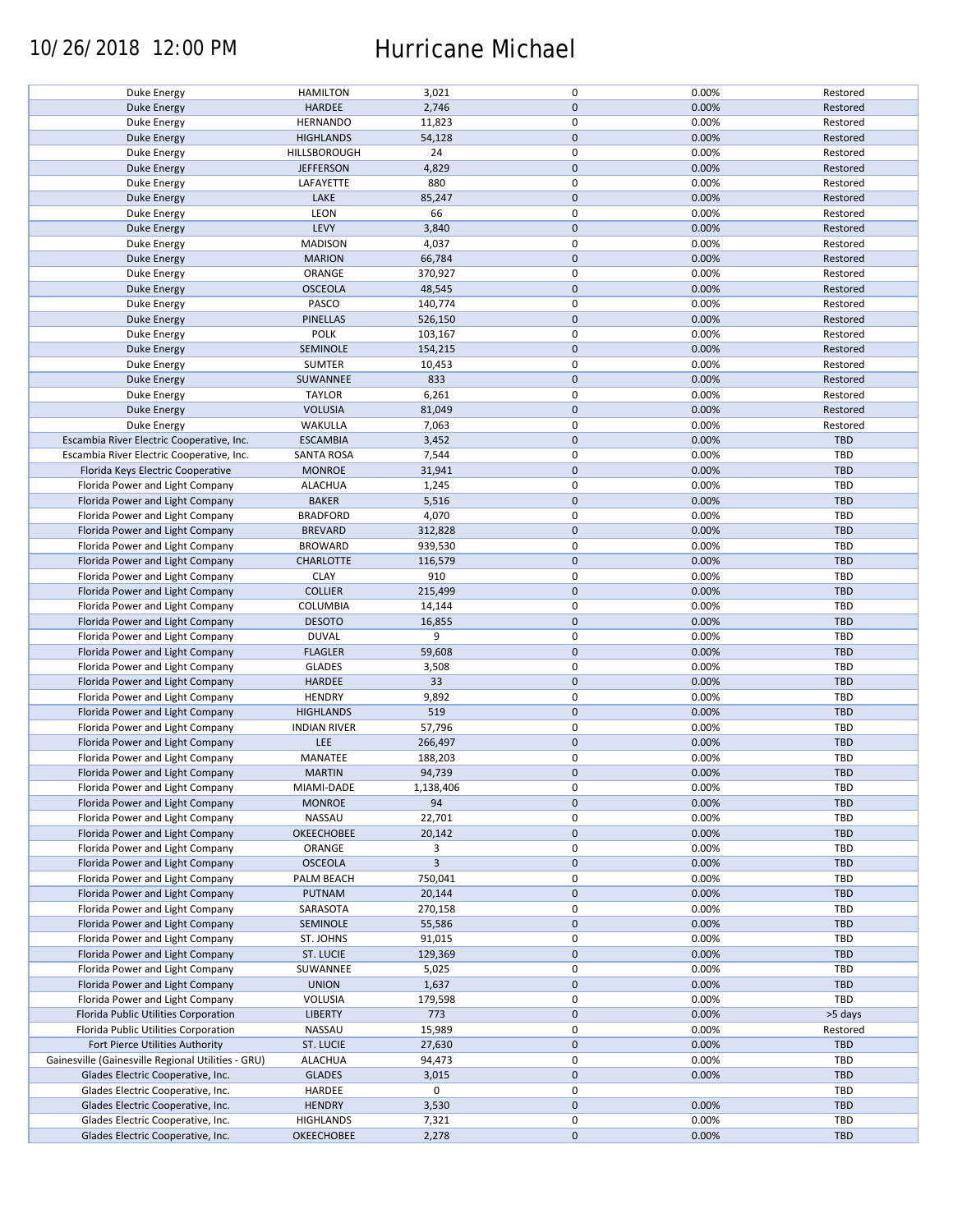### 10/26/2018 12:00 PM Hurricane Michael

| Duke Energy                                        | <b>HAMILTON</b>     | 3,021     | 0                   | 0.00% | Restored   |
|----------------------------------------------------|---------------------|-----------|---------------------|-------|------------|
|                                                    |                     |           |                     |       |            |
| <b>Duke Energy</b>                                 | <b>HARDEE</b>       | 2,746     | $\mathbf{0}$        | 0.00% | Restored   |
| Duke Energy                                        | <b>HERNANDO</b>     | 11,823    | 0                   | 0.00% | Restored   |
| Duke Energy                                        | <b>HIGHLANDS</b>    | 54,128    | $\mathbf 0$         | 0.00% | Restored   |
| <b>Duke Energy</b>                                 | HILLSBOROUGH        | 24        | 0                   | 0.00% | Restored   |
| Duke Energy                                        | <b>JEFFERSON</b>    | 4,829     | $\mathbf 0$         | 0.00% | Restored   |
|                                                    |                     |           |                     |       |            |
| Duke Energy                                        | LAFAYETTE           | 880       | 0                   | 0.00% | Restored   |
| <b>Duke Energy</b>                                 | LAKE                | 85,247    | $\mathbf 0$         | 0.00% | Restored   |
| <b>Duke Energy</b>                                 | LEON                | 66        | 0                   | 0.00% | Restored   |
| <b>Duke Energy</b>                                 | LEVY                | 3,840     | $\mathbf 0$         | 0.00% | Restored   |
| Duke Energy                                        | <b>MADISON</b>      | 4,037     | $\pmb{0}$           | 0.00% | Restored   |
|                                                    |                     |           |                     |       |            |
| <b>Duke Energy</b>                                 | <b>MARION</b>       | 66,784    | $\mathbf 0$         | 0.00% | Restored   |
| Duke Energy                                        | ORANGE              | 370,927   | 0                   | 0.00% | Restored   |
| <b>Duke Energy</b>                                 | <b>OSCEOLA</b>      | 48,545    | $\mathbf 0$         | 0.00% | Restored   |
| Duke Energy                                        | PASCO               | 140,774   | 0                   | 0.00% | Restored   |
|                                                    | <b>PINELLAS</b>     | 526,150   | $\mathbf 0$         | 0.00% | Restored   |
| <b>Duke Energy</b>                                 |                     |           |                     |       |            |
| <b>Duke Energy</b>                                 | <b>POLK</b>         | 103,167   | $\pmb{0}$           | 0.00% | Restored   |
| <b>Duke Energy</b>                                 | <b>SEMINOLE</b>     | 154,215   | $\mathbf 0$         | 0.00% | Restored   |
| Duke Energy                                        | <b>SUMTER</b>       | 10,453    | 0                   | 0.00% | Restored   |
| Duke Energy                                        | SUWANNEE            | 833       | $\mathbf 0$         | 0.00% | Restored   |
| Duke Energy                                        | <b>TAYLOR</b>       | 6,261     | 0                   | 0.00% | Restored   |
|                                                    |                     |           |                     |       |            |
| <b>Duke Energy</b>                                 | <b>VOLUSIA</b>      | 81,049    | $\mathbf 0$         | 0.00% | Restored   |
| Duke Energy                                        | WAKULLA             | 7,063     | 0                   | 0.00% | Restored   |
| Escambia River Electric Cooperative, Inc.          | <b>ESCAMBIA</b>     | 3,452     | $\mathbf 0$         | 0.00% | TBD        |
| Escambia River Electric Cooperative, Inc.          | <b>SANTA ROSA</b>   | 7,544     | 0                   | 0.00% | TBD        |
|                                                    | <b>MONROE</b>       | 31,941    | $\mathbf 0$         | 0.00% | TBD        |
| Florida Keys Electric Cooperative                  |                     |           |                     |       |            |
| Florida Power and Light Company                    | <b>ALACHUA</b>      | 1,245     | $\pmb{0}$           | 0.00% | TBD        |
| Florida Power and Light Company                    | <b>BAKER</b>        | 5,516     | $\mathbf 0$         | 0.00% | TBD        |
| Florida Power and Light Company                    | <b>BRADFORD</b>     | 4,070     | 0                   | 0.00% | TBD        |
| Florida Power and Light Company                    | <b>BREVARD</b>      | 312,828   | $\pmb{0}$           | 0.00% | TBD        |
|                                                    |                     |           | $\mathsf 0$         |       | TBD        |
| Florida Power and Light Company                    | <b>BROWARD</b>      | 939,530   |                     | 0.00% |            |
| Florida Power and Light Company                    | <b>CHARLOTTE</b>    | 116,579   | $\mathbf 0$         | 0.00% | <b>TBD</b> |
| Florida Power and Light Company                    | <b>CLAY</b>         | 910       | 0                   | 0.00% | TBD        |
| Florida Power and Light Company                    | <b>COLLIER</b>      | 215,499   | $\pmb{0}$           | 0.00% | <b>TBD</b> |
| Florida Power and Light Company                    | COLUMBIA            | 14,144    | 0                   | 0.00% | TBD        |
| Florida Power and Light Company                    | <b>DESOTO</b>       | 16,855    | $\mathbf 0$         | 0.00% | <b>TBD</b> |
|                                                    |                     |           |                     |       |            |
| Florida Power and Light Company                    | <b>DUVAL</b>        | 9         | 0                   | 0.00% | TBD        |
| Florida Power and Light Company                    | <b>FLAGLER</b>      | 59,608    | $\pmb{0}$           | 0.00% | TBD        |
| Florida Power and Light Company                    | <b>GLADES</b>       | 3,508     | 0                   | 0.00% | TBD        |
| Florida Power and Light Company                    | <b>HARDEE</b>       | 33        | $\mathbf 0$         | 0.00% | TBD        |
| Florida Power and Light Company                    | <b>HENDRY</b>       | 9,892     | 0                   | 0.00% | TBD        |
|                                                    |                     |           |                     |       |            |
| Florida Power and Light Company                    | <b>HIGHLANDS</b>    | 519       | $\mathbf 0$         | 0.00% | <b>TBD</b> |
| Florida Power and Light Company                    | <b>INDIAN RIVER</b> | 57,796    | 0                   | 0.00% | TBD        |
| Florida Power and Light Company                    | LEE                 | 266,497   | $\mathbf 0$         | 0.00% | TBD        |
| Florida Power and Light Company                    | MANATEE             | 188,203   | 0                   | 0.00% | TBD        |
|                                                    | <b>MARTIN</b>       |           | $\Omega$            |       | TBD        |
| Florida Power and Light Company                    |                     | 94,739    |                     | 0.00% |            |
| Florida Power and Light Company                    | MIAMI-DADE          | 1,138,406 | 0                   | 0.00% | TBD        |
| Florida Power and Light Company                    | <b>MONROE</b>       | 94        | $\mathbf 0$         | 0.00% | TBD        |
| Florida Power and Light Company                    | NASSAU              | 22,701    | 0                   | 0.00% | TBD        |
| Florida Power and Light Company                    | <b>OKEECHOBEE</b>   | 20,142    | $\mathbf 0$         | 0.00% | TBD        |
| Florida Power and Light Company                    | ORANGE              | 3         | 0                   | 0.00% | TBD        |
|                                                    |                     |           |                     |       |            |
| Florida Power and Light Company                    | <b>OSCEOLA</b>      | 3         | $\mathbf 0$         | 0.00% | TBD        |
| Florida Power and Light Company                    | PALM BEACH          | 750,041   | 0                   | 0.00% | TBD        |
| Florida Power and Light Company                    | PUTNAM              | 20,144    | $\mathbf 0$         | 0.00% | TBD        |
| Florida Power and Light Company                    | SARASOTA            | 270,158   | 0                   | 0.00% | TBD        |
| Florida Power and Light Company                    | <b>SEMINOLE</b>     | 55,586    | $\mathbf 0$         | 0.00% | TBD        |
|                                                    |                     |           |                     |       |            |
| Florida Power and Light Company                    | ST. JOHNS           | 91,015    | 0                   | 0.00% | TBD        |
| Florida Power and Light Company                    | ST. LUCIE           | 129,369   | $\mathbf 0$         | 0.00% | TBD        |
| Florida Power and Light Company                    | SUWANNEE            | 5,025     | 0                   | 0.00% | TBD        |
| Florida Power and Light Company                    | <b>UNION</b>        | 1,637     | $\mathbf 0$         | 0.00% | TBD        |
|                                                    |                     |           |                     |       |            |
| Florida Power and Light Company                    | <b>VOLUSIA</b>      | 179,598   | 0                   | 0.00% | TBD        |
| Florida Public Utilities Corporation               | <b>LIBERTY</b>      | 773       | $\mathbf 0$         | 0.00% | >5 days    |
| Florida Public Utilities Corporation               | NASSAU              | 15,989    | 0                   | 0.00% | Restored   |
| Fort Pierce Utilities Authority                    | <b>ST. LUCIE</b>    | 27,630    | $\mathbf 0$         | 0.00% | TBD        |
| Gainesville (Gainesville Regional Utilities - GRU) | <b>ALACHUA</b>      | 94,473    | 0                   | 0.00% | TBD        |
|                                                    |                     |           |                     |       |            |
| Glades Electric Cooperative, Inc.                  | <b>GLADES</b>       | 3,015     | $\mathbf 0$         | 0.00% | TBD        |
| Glades Electric Cooperative, Inc.                  | HARDEE              | 0         | 0                   |       | TBD        |
| Glades Electric Cooperative, Inc.                  | <b>HENDRY</b>       | 3,530     | $\mathbf 0$         | 0.00% | TBD        |
| Glades Electric Cooperative, Inc.                  | <b>HIGHLANDS</b>    | 7,321     | 0                   | 0.00% | TBD        |
| Glades Electric Cooperative, Inc.                  | <b>OKEECHOBEE</b>   | 2,278     | $\mathsf{O}\xspace$ | 0.00% | TBD        |
|                                                    |                     |           |                     |       |            |